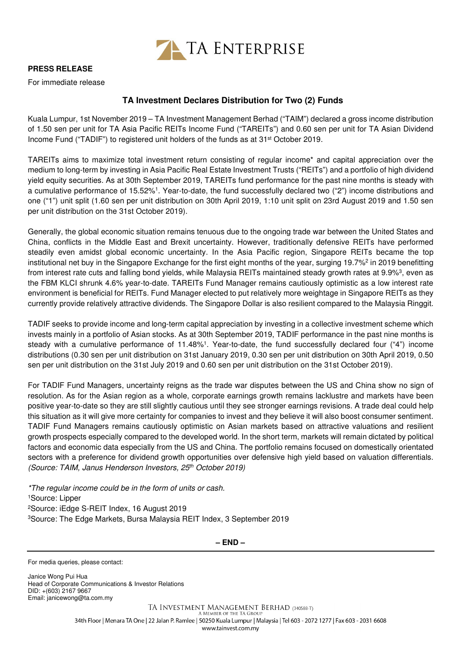

## **PRESS RELEASE**

For immediate release

## **TA Investment Declares Distribution for Two (2) Funds**

Kuala Lumpur, 1st November 2019 – TA Investment Management Berhad ("TAIM") declared a gross income distribution of 1.50 sen per unit for TA Asia Pacific REITs Income Fund ("TAREITs") and 0.60 sen per unit for TA Asian Dividend Income Fund ("TADIF") to registered unit holders of the funds as at 31<sup>st</sup> October 2019.

TAREITs aims to maximize total investment return consisting of regular income\* and capital appreciation over the medium to long-term by investing in Asia Pacific Real Estate Investment Trusts ("REITs") and a portfolio of high dividend yield equity securities. As at 30th September 2019, TAREITs fund performance for the past nine months is steady with a cumulative performance of 15.52%<sup>1</sup> . Year-to-date, the fund successfully declared two ("2") income distributions and one ("1") unit split (1.60 sen per unit distribution on 30th April 2019, 1:10 unit split on 23rd August 2019 and 1.50 sen per unit distribution on the 31st October 2019).

Generally, the global economic situation remains tenuous due to the ongoing trade war between the United States and China, conflicts in the Middle East and Brexit uncertainty. However, traditionally defensive REITs have performed steadily even amidst global economic uncertainty. In the Asia Pacific region, Singapore REITs became the top institutional net buy in the Singapore Exchange for the first eight months of the year, surging 19.7%<sup>2</sup> in 2019 benefitting from interest rate cuts and falling bond yields, while Malaysia REITs maintained steady growth rates at 9.9%<sup>3</sup>, even as the FBM KLCI shrunk 4.6% year-to-date. TAREITs Fund Manager remains cautiously optimistic as a low interest rate environment is beneficial for REITs. Fund Manager elected to put relatively more weightage in Singapore REITs as they currently provide relatively attractive dividends. The Singapore Dollar is also resilient compared to the Malaysia Ringgit.

TADIF seeks to provide income and long-term capital appreciation by investing in a collective investment scheme which invests mainly in a portfolio of Asian stocks. As at 30th September 2019, TADIF performance in the past nine months is steady with a cumulative performance of 11.48%<sup>1</sup>. Year-to-date, the fund successfully declared four ("4") income distributions (0.30 sen per unit distribution on 31st January 2019, 0.30 sen per unit distribution on 30th April 2019, 0.50 sen per unit distribution on the 31st July 2019 and 0.60 sen per unit distribution on the 31st October 2019).

For TADIF Fund Managers, uncertainty reigns as the trade war disputes between the US and China show no sign of resolution. As for the Asian region as a whole, corporate earnings growth remains lacklustre and markets have been positive year-to-date so they are still slightly cautious until they see stronger earnings revisions. A trade deal could help this situation as it will give more certainty for companies to invest and they believe it will also boost consumer sentiment. TADIF Fund Managers remains cautiously optimistic on Asian markets based on attractive valuations and resilient growth prospects especially compared to the developed world. In the short term, markets will remain dictated by political factors and economic data especially from the US and China. The portfolio remains focused on domestically orientated sectors with a preference for dividend growth opportunities over defensive high yield based on valuation differentials. (Source: TAIM, Janus Henderson Investors, 25<sup>th</sup> October 2019)

\*The regular income could be in the form of units or cash. Source: Lipper Source: iEdge S-REIT Index, 16 August 2019 Source: The Edge Markets, Bursa Malaysia REIT Index, 3 September 2019

**– END –**

For media queries, please contact:

Janice Wong Pui Hua Head of Corporate Communications & Investor Relations DID: +(603) 2167 9667 Email: janicewong@ta.com.my

> TA INVESTMENT MANAGEMENT BERHAD (340588-T) A MEMBER OF THE TA GROUP 34th Floor | Menara TA One | 22 Jalan P. Ramlee | 50250 Kuala Lumpur | Malaysia | Tel 603 - 2072 1277 | Fax 603 - 2031 6608 www.tainvest.com.mv